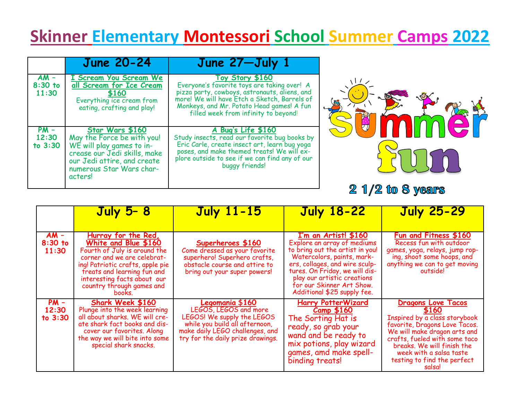## **Skinner Elementary Montessori School Summer Camps 2022**

|                              | <b>June 20-24</b>                                                                                                                                                                | June 27-July 1                                                                                                                                                                                                                                       |                   |
|------------------------------|----------------------------------------------------------------------------------------------------------------------------------------------------------------------------------|------------------------------------------------------------------------------------------------------------------------------------------------------------------------------------------------------------------------------------------------------|-------------------|
| $AM -$<br>$8:30$ to<br>11:30 | I Scream You Scream We<br>all Scream for Ice Cream<br>\$160<br>Everything ice cream from<br>eating, crafting and play!                                                           | Toy Story \$160<br>Everyone's favorite toys are taking over! A<br>pizza party, cowboys, astronauts, aliens, and<br>more! We will have Etch a Sketch, Barrels of<br>Monkeys, and Mr. Potato Head games! A fun<br>filled week from infinity to beyond! |                   |
| $PM -$<br>12:30<br>to $3:30$ | Star Wars \$160<br>May the Force be with you!<br>WE will play games to in-<br>crease our Jedi skills, make<br>our Jedi attire, and create<br>numerous Star Wars char-<br>acters! | A Bug's Life \$160<br>Study insects, read our favorite bug books by<br>Eric Carle, create insect art, learn bug yoga<br>poses, and make themed treats! We will ex-<br>plore outside to see if we can find any of our<br>buggy friends!               | $21/2$ to 8 years |

|                              | July 5-8                                                                                                                                                                                                                                            | <b>July 11-15</b>                                                                                                                                                                | <b>July 18-22</b>                                                                                                                                                                                                                                                                   | <b>July 25-29</b>                                                                                                                                                                                                                                                             |
|------------------------------|-----------------------------------------------------------------------------------------------------------------------------------------------------------------------------------------------------------------------------------------------------|----------------------------------------------------------------------------------------------------------------------------------------------------------------------------------|-------------------------------------------------------------------------------------------------------------------------------------------------------------------------------------------------------------------------------------------------------------------------------------|-------------------------------------------------------------------------------------------------------------------------------------------------------------------------------------------------------------------------------------------------------------------------------|
|                              |                                                                                                                                                                                                                                                     |                                                                                                                                                                                  |                                                                                                                                                                                                                                                                                     |                                                                                                                                                                                                                                                                               |
| $AM -$<br>$8:30$ to<br>11:30 | Hurray for the Red,<br>White and Blue \$160<br>Fourth of July is around the<br>corner and we are celebrat-<br>ing! Patriotic crafts, apple pie<br>treats and learning fun and<br>interesting facts about our<br>country through games and<br>books. | Superheroes \$160<br>Come dressed as your favorite<br>superhero! Superhero crafts,<br>obstacle course and attire to<br>bring out your super powers!                              | I'm an Artist! \$160<br>Explore an array of mediums<br>to bring out the artist in you!<br>Watercolors, paints, mark-<br>ers, collages, and wire sculp-<br>tures. On Friday, we will dis-<br>play our artistic creations<br>for our Skinner Art Show.<br>Additional \$25 supply fee. | Fun and Fitness \$160<br>Recess fun with outdoor<br>games, yoga, relays, jump rop-<br>ing, shoot some hoops, and<br>anything we can to get moving<br>outside!                                                                                                                 |
| $PM -$<br>12:30<br>to $3:30$ | Shark Week \$160<br>Plunge into the week learning<br>all about sharks. WE will cre-<br>ate shark fact books and dis-<br>cover our favorites. Along<br>the way we will bite into some<br>special shark snacks.                                       | Legomania \$160<br>LEGOS, LEGOS and more<br>LEGOS! We supply the LEGOS<br>while you build all afternoon,<br>make daily LEGO challenges, and<br>try for the daily prize drawings. | Harry PotterWizard<br><u>Camp \$160</u><br>The Sorting Hat is<br>ready, so grab your<br>wand and be ready to<br>mix potions, play wizard<br>games, amd make spell-<br>binding treats!                                                                                               | <b>Dragons Love Tacos</b><br><b>5160</b><br>Inspired by a class storybook<br>favorite, Dragons Love Tacos.<br>We will make dragon arts and<br>crafts, fueled with some taco<br>breaks. We will finish the<br>week with a salsa taste<br>testing to find the perfect<br>salsal |